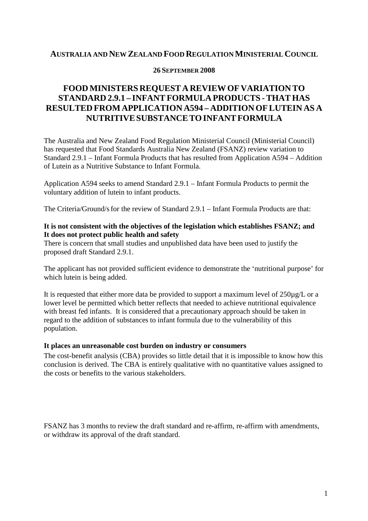## **AUSTRALIA AND NEW ZEALAND FOOD REGULATIONMINISTERIAL COUNCIL**

#### **26 SEPTEMBER 2008**

# **FOODMINISTERS REQUEST A REVIEWOF VARIATION TO STANDARD 2.9.1 – INFANTFORMULA PRODUCTS -THAT HAS RESULTED FROM APPLICATION A594 – ADDITIONOFLUTEIN AS A NUTRITIVESUBSTANCETOINFANTFORMULA**

The Australia and New Zealand Food Regulation Ministerial Council (Ministerial Council) has requested that Food Standards Australia New Zealand (FSANZ) review variation to Standard 2.9.1 – Infant Formula Products that has resulted from Application A594 – Addition of Lutein as a Nutritive Substance to Infant Formula.

Application A594 seeks to amend Standard 2.9.1 – Infant Formula Products to permit the voluntary addition of lutein to infant products.

The Criteria/Ground/sfor the review of Standard 2.9.1 – Infant Formula Products are that:

### **It is not consistent with the objectives of the legislation which establishes FSANZ; and It does not protect public health and safety**

There is concern that small studies and unpublished data have been used to justify the proposed draft Standard 2.9.1.

The applicant has not provided sufficient evidence to demonstrate the 'nutritional purpose' for which lutein is being added.

It is requested that either more data be provided to support a maximum level of 250µg/L or a lower level be permitted which better reflects that needed to achieve nutritional equivalence with breast fed infants. It is considered that a precautionary approach should be taken in regard to the addition of substances to infant formula due to the vulnerability of this population.

### **It places an unreasonable cost burden on industry or consumers**

The cost-benefit analysis (CBA) provides so little detail that it is impossible to know how this conclusion is derived. The CBA is entirely qualitative with no quantitative values assigned to the costs or benefits to the various stakeholders.

FSANZ has 3 months to review the draft standard and re-affirm, re-affirm with amendments, or withdraw its approval of the draft standard.